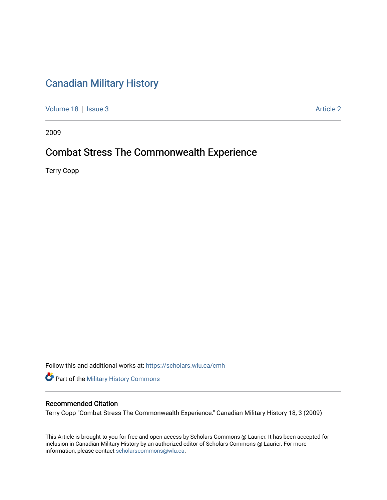## [Canadian Military History](https://scholars.wlu.ca/cmh)

[Volume 18](https://scholars.wlu.ca/cmh/vol18) | [Issue 3](https://scholars.wlu.ca/cmh/vol18/iss3) Article 2

2009

### Combat Stress The Commonwealth Experience

Terry Copp

Follow this and additional works at: [https://scholars.wlu.ca/cmh](https://scholars.wlu.ca/cmh?utm_source=scholars.wlu.ca%2Fcmh%2Fvol18%2Fiss3%2F2&utm_medium=PDF&utm_campaign=PDFCoverPages)

Part of the [Military History Commons](http://network.bepress.com/hgg/discipline/504?utm_source=scholars.wlu.ca%2Fcmh%2Fvol18%2Fiss3%2F2&utm_medium=PDF&utm_campaign=PDFCoverPages) 

### Recommended Citation

Terry Copp "Combat Stress The Commonwealth Experience." Canadian Military History 18, 3 (2009)

This Article is brought to you for free and open access by Scholars Commons @ Laurier. It has been accepted for inclusion in Canadian Military History by an authorized editor of Scholars Commons @ Laurier. For more information, please contact [scholarscommons@wlu.ca](mailto:scholarscommons@wlu.ca).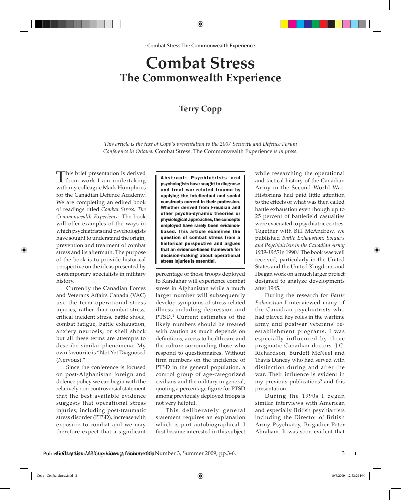# **Combat Stress The Commonwealth Experience**

## **Terry Copp**

*This article is the text of Copp's presentation to the 2007 Security and Defence Forum Conference in Ottawa.* Combat Stress: The Commonwealth Experience *is in press.*

This brief presentation is derived from work I am undertaking with my colleague Mark Humphries for the Canadian Defence Academy. We are completing an edited book of readings titled *Combat Stress: The Commonwealth Experience*. The book will offer examples of the ways in which psychiatrists and psychologists have sought to understand the origin, prevention and treatment of combat stress and its aftermath. The purpose of the book is to provide historical perspective on the ideas presented by contemporary specialists in military history.

Currently the Canadian Forces and Veterans Affairs Canada (VAC) use the term operational stress injuries, rather than combat stress, critical incident stress, battle shock, combat fatigue, battle exhaustion, anxiety neurosis, or shell shock but all these terms are attempts to describe similar phenomena. My own favourite is "Not Yet Diagnosed (Nervous)."

Since the conference is focused on post-Afghanistan foreign and defence policy we can begin with the relatively non-controversial statement that the best available evidence suggests that operational stress injuries, including post-traumatic stress disorder (PTSD), increase with exposure to combat and we may therefore expect that a significant

Abstract: Psychiatrists and psychologists have sought to diagnose and treat war-related trauma by applying the intellectual and social constructs current in their profession. Whether derived from Freudian and other psycho-dynamic theories or physiological approaches, the concepts employed have rarely been evidencebased. This article examines the question of combat stress from a historical perspective and argues that an evidence-based framework for decision-making about operational stress injuries is essential.

percentage of those troops deployed to Kandahar will experience combat stress in Afghanistan while a much larger number will subsequently develop symptoms of stress-related illness including depression and PTSD.<sup>1</sup> Current estimates of the likely numbers should be treated with caution as much depends on definitions, access to health care and the culture surrounding those who respond to questionnaires. Without firm numbers on the incidence of PTSD in the general population, a control group of age-categorized civilians and the military in general, quoting a percentage figure for PTSD among previously deployed troops is not very helpful.

This deliberately general statement requires an explanation which is part autobiographical. I first became interested in this subject while researching the operational and tactical history of the Canadian Army in the Second World War. Historians had paid little attention to the effects of what was then called battle exhaustion even though up to 25 percent of battlefield casualties were evacuated to psychiatric centres. Together with Bill McAndrew, we published *Battle Exhaustion: Soldiers and Psychiatrists in the Canadian Army*  1939-1945 in 1990.<sup>2</sup> The book was well received, particularly in the United States and the United Kingdom, and I began work on a much larger project designed to analyze developments after 1945.

During the research for *Battle Exhaustion* I interviewed many of the Canadian psychiatrists who had played key roles in the wartime army and postwar veterans' reestablishment programs. I was especially influenced by three pragmatic Canadian doctors, J.C. Richardson, Burdett McNeel and Travis Dancey who had served with distinction during and after the war. Their influence is evident in my previous publications<sup>3</sup> and this presentation.

During the 1990s I began similar interviews with American and especially British psychiatrists including the Director of British Army Psychiatry, Brigadier Peter Abraham. It was soon evident that

3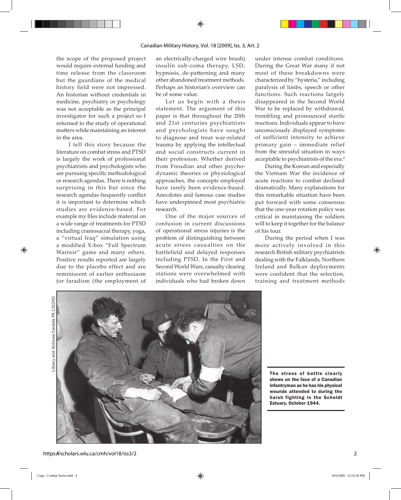the scope of the proposed project would require external funding and time release from the classroom but the guardians of the medical history field were not impressed. An historian without credentials in medicine, psychiatry or psychology was not acceptable as the principal investigator for such a project so I returned to the study of operational matters while maintaining an interest in the area.

 I tell this story because the literature on combat stress and PTSD is largely the work of professional psychiatrists and psychologists who are pursuing specific methodological or research agendas. There is nothing surprising in this but since the research agendas frequently conflict it is important to determine which studies are evidence-based. For example my files include material on a wide range of treatments for PTSD including craniosacral therapy, yoga, a "virtual Iraq" simulation using a modified X-box "Full Spectrum Warrior" game and many others. Positive results reported are largely due to the placebo effect and are reminiscent of earlier enthusiasm for faradism (the employment of an electrically-charged wire brush) insulin sub-coma therapy, LSD, hypnosis, de-patterning and many other abandoned treatment methods. Perhaps an historian's overview can be of some value.

Let us begin with a thesis statement. The argument of this paper is that throughout the 20th and 21st centuries psychiatrists and psychologists have sought to diagnose and treat war-related trauma by applying the intellectual and social constructs current in their profession. Whether derived from Freudian and other psychodynamic theories or physiological approaches, the concepts employed have rarely been evidence-based. Anecdotes and famous case studies have underpinned most psychiatric research.

One of the major sources of confusion in current discussions of operational stress injuries is the problem of distinguishing between acute stress casualties on the battlefield and delayed responses including PTSD. In the First and Second World Wars, casualty clearing stations were overwhelmed with individuals who had broken down

under intense combat conditions. During the Great War many if not most of these breakdowns were characterized by "hysteria," including paralysis of limbs, speech or other functions. Such reactions largely disappeared in the Second World War to be replaced by withdrawal, trembling and pronounced startle reactions. Individuals appear to have unconsciously displayed symptoms of sufficient intensity to achieve primary gain – immediate relief from the stressful situation in ways acceptable to psychiatrists of the era.<sup>4</sup>

During the Korean and especially the Vietnam War the incidence of acute reactions to combat declined dramatically. Many explanations for this remarkable situation have been put forward with some consensus that the one-year rotation policy was critical in maintaining the soldiers will to keep it together for the balance of his tour.

During the period when I was more actively involved in this research British military psychiatrists dealing with the Falklands, Northern Ireland and Balkan deployments were confident that the selection, training and treatment methods



The stress of battle clearly shows on the face of a Canadian infantryman as he has his physical wounds attended to during the harsh fighting in the Scheldt Estuary, October 1944.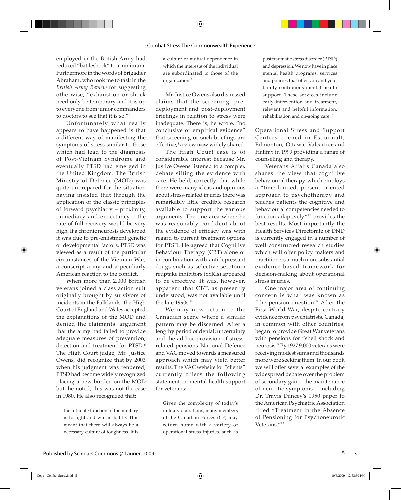employed in the British Army had reduced "battleshock" to a minimum. Furthermore in the words of Brigadier Abraham, who took me to task in the *British Army Review* for suggesting otherwise, "exhaustion or shock need only be temporary and it is up to everyone from junior commanders to doctors to see that it is so."<sup>5</sup>

Unfortunately what really appears to have happened is that a different way of manifesting the symptoms of stress similar to those which had lead to the diagnosis of Post-Vietnam Syndrome and eventually PTSD had emerged in the United Kingdom. The British Ministry of Defence (MOD) was quite unprepared for the situation having insisted that through the application of the classic principles of forward psychiatry – proximity, immediacy and expectancy – the rate of full recovery would be very high. If a chronic neurosis developed it was due to pre-enlistment genetic or developmental factors. PTSD was viewed as a result of the particular circumstances of the Vietnam War, a conscript army and a peculiarly American reaction to the conflict.

When more than 2,000 British veterans joined a class action suit originally brought by survivors of incidents in the Falklands, the High Court of England and Wales accepted the explanations of the MOD and denied the claimants' argument that the army had failed to provide adequate measures of prevention, detection and treatment for PTSD.<sup>6</sup> The High Court judge, Mr. Justice Owens, did recognize that by 2003 when his judgment was rendered, PTSD had become widely recognized placing a new burden on the MOD but, he noted, this was not the case in 1980. He also recognized that:

the ultimate function of the military is to fight and win in battle. This meant that there will always be a necessary culture of toughness. It is a culture of mutual dependence in which the interests of the individual are subordinated to those of the organization.7

Mr. Justice Owens also dismissed claims that the screening, predeployment and post-deployment briefings in relation to stress were inadequate. There is, he wrote, "no conclusive or empirical evidence" that screening or such briefings are effective,<sup>8</sup> a view now widely shared.

The High Court case is of considerable interest because Mr. Justice Owens listened to a complex debate sifting the evidence with care. He held, correctly, that while there were many ideas and opinions about stress-related injuries there was remarkably little credible research available to support the various arguments. The one area where he was reasonably confident about the evidence of efficacy was with regard to current treatment options for PTSD. He agreed that Cognitive Behaviour Therapy (CBT) alone or in combination with antidepressant drugs such as selective serotonin reuptake inhibitors (SSRIs) appeared to be effective. It was, however, apparent that CBT, as presently understood, was not available until the late  $1990s$ . $9$ 

We may now return to the Canadian scene where a similar pattern may be discerned. After a lengthy period of denial, uncertainty and the ad hoc provision of stressrelated pensions National Defence and VAC moved towards a measured approach which may yield better results. The VAC website for "clients" currently offers the following statement on mental health support for veterans:

Given the complexity of today's military operations, many members of the Canadian Forces (CF) may return home with a variety of operational stress injuries, such as

post traumatic stress disorder (PTSD) and depression. We now have in place mental health programs, services and policies that offer you and your family continuous mental health support. These services include early intervention and treatment, relevant and helpful information, rehabilitation and on-going care.10

Operational Stress and Support Centres opened in Esquimalt, Edmonton, Ottawa, Valcartier and Halifax in 1999 providing a range of counseling and therapy.

Veterans Affairs Canada also shares the view that cognitive behavioural therapy, which employs a "time-limited, present-oriented approach to psychotherapy and teaches patients the cognitive and behavioural competencies needed to function adaptively,"11 provides the best results. Most importantly the Health Services Directorate of DND is currently engaged in a number of well constructed research studies which will offer policy makers and practitioners a much more substantial evidence-based framework for decision-making about operational stress injuries.

One major area of continuing concern is what was known as "the pension question." After the First World War, despite contrary evidence from psychiatrists, Canada, in common with other countries, began to provide Great War veterans with pensions for "shell shock and neurosis." By 1927 9,000 veterans were receiving modest sums and thousands more were seeking them. In our book we will offer several examples of the widespread debate over the problem of secondary gain – the maintenance of neurotic symptoms – including Dr. Travis Dancey's 1950 paper to the American Psychiatric Association titled "Treatment in the Absence of Pensioning for Psychoneurotic Veterans."<sup>12</sup>

5